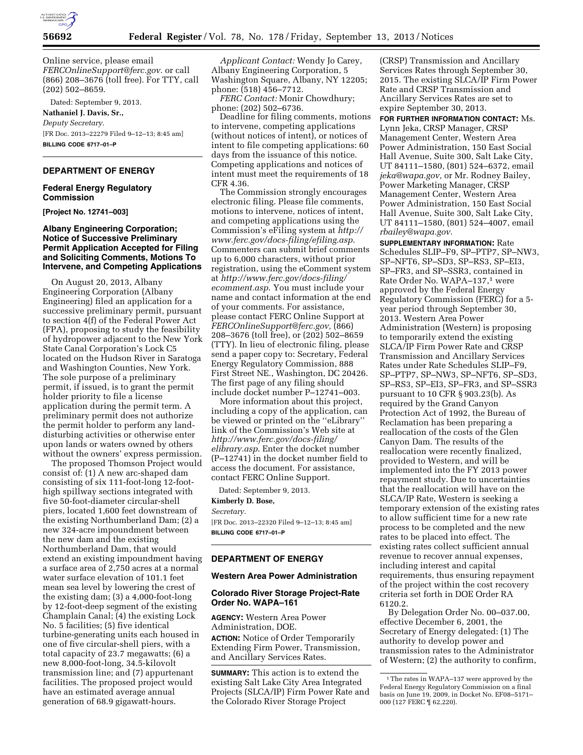

Online service, please email *[FERCOnlineSupport@ferc.gov.](mailto:FERCOnlineSupport@ferc.gov)* or call (866) 208–3676 (toll free). For TTY, call (202) 502–8659.

Dated: September 9, 2013. **Nathaniel J. Davis, Sr.,**  *Deputy Secretary.*  [FR Doc. 2013–22279 Filed 9–12–13; 8:45 am]

**BILLING CODE 6717–01–P** 

### **DEPARTMENT OF ENERGY**

#### **Federal Energy Regulatory Commission**

**[Project No. 12741–003]** 

### **Albany Engineering Corporation; Notice of Successive Preliminary Permit Application Accepted for Filing and Soliciting Comments, Motions To Intervene, and Competing Applications**

On August 20, 2013, Albany Engineering Corporation (Albany Engineering) filed an application for a successive preliminary permit, pursuant to section 4(f) of the Federal Power Act (FPA), proposing to study the feasibility of hydropower adjacent to the New York State Canal Corporation's Lock C5 located on the Hudson River in Saratoga and Washington Counties, New York. The sole purpose of a preliminary permit, if issued, is to grant the permit holder priority to file a license application during the permit term. A preliminary permit does not authorize the permit holder to perform any landdisturbing activities or otherwise enter upon lands or waters owned by others without the owners' express permission.

The proposed Thomson Project would consist of: (1) A new arc-shaped dam consisting of six 111-foot-long 12-foothigh spillway sections integrated with five 50-foot-diameter circular-shell piers, located 1,600 feet downstream of the existing Northumberland Dam; (2) a new 324-acre impoundment between the new dam and the existing Northumberland Dam, that would extend an existing impoundment having a surface area of 2,750 acres at a normal water surface elevation of 101.1 feet mean sea level by lowering the crest of the existing dam; (3) a 4,000-foot-long by 12-foot-deep segment of the existing Champlain Canal; (4) the existing Lock No. 5 facilities; (5) five identical turbine-generating units each housed in one of five circular-shell piers, with a total capacity of 23.7 megawatts; (6) a new 8,000-foot-long, 34.5-kilovolt transmission line; and (7) appurtenant facilities. The proposed project would have an estimated average annual generation of 68.9 gigawatt-hours.

*Applicant Contact:* Wendy Jo Carey, Albany Engineering Corporation, 5 Washington Square, Albany, NY 12205; phone: (518) 456–7712.

*FERC Contact:* Monir Chowdhury; phone: (202) 502–6736.

Deadline for filing comments, motions to intervene, competing applications (without notices of intent), or notices of intent to file competing applications: 60 days from the issuance of this notice. Competing applications and notices of intent must meet the requirements of 18 CFR 4.36.

The Commission strongly encourages electronic filing. Please file comments, motions to intervene, notices of intent, and competing applications using the Commission's eFiling system at *[http://](http://www.ferc.gov/docs-filing/efiling.asp) [www.ferc.gov/docs-filing/efiling.asp](http://www.ferc.gov/docs-filing/efiling.asp)*. Commenters can submit brief comments up to 6,000 characters, without prior registration, using the eComment system at *[http://www.ferc.gov/docs-filing/](http://www.ferc.gov/docs-filing/ecomment.asp) [ecomment.asp](http://www.ferc.gov/docs-filing/ecomment.asp)*. You must include your name and contact information at the end of your comments. For assistance, please contact FERC Online Support at *[FERCOnlineSupport@ferc.gov,](mailto:FERCOnlineSupport@ferc.gov)* (866) 208–3676 (toll free), or (202) 502–8659 (TTY). In lieu of electronic filing, please send a paper copy to: Secretary, Federal Energy Regulatory Commission, 888 First Street NE., Washington, DC 20426. The first page of any filing should include docket number P–12741–003.

More information about this project, including a copy of the application, can be viewed or printed on the ''eLibrary'' link of the Commission's Web site at *[http://www.ferc.gov/docs-filing/](http://www.ferc.gov/docs-filing/elibrary.asp) [elibrary.asp](http://www.ferc.gov/docs-filing/elibrary.asp)*. Enter the docket number (P–12741) in the docket number field to access the document. For assistance, contact FERC Online Support.

Dated: September 9, 2013. **Kimberly D. Bose,**  *Secretary.* 

[FR Doc. 2013–22320 Filed 9–12–13; 8:45 am] **BILLING CODE 6717–01–P** 

#### **DEPARTMENT OF ENERGY**

#### **Western Area Power Administration**

#### **Colorado River Storage Project-Rate Order No. WAPA–161**

**AGENCY:** Western Area Power Administration, DOE. **ACTION:** Notice of Order Temporarily Extending Firm Power, Transmission, and Ancillary Services Rates.

**SUMMARY:** This action is to extend the existing Salt Lake City Area Integrated Projects (SLCA/IP) Firm Power Rate and the Colorado River Storage Project

(CRSP) Transmission and Ancillary Services Rates through September 30, 2015. The existing SLCA/IP Firm Power Rate and CRSP Transmission and Ancillary Services Rates are set to expire September 30, 2013.

**FOR FURTHER INFORMATION CONTACT:** Ms. Lynn Jeka, CRSP Manager, CRSP Management Center, Western Area Power Administration, 150 East Social Hall Avenue, Suite 300, Salt Lake City, UT 84111–1580, (801) 524–6372, email *[jeka@wapa.gov,](mailto:jeka@wapa.gov)* or Mr. Rodney Bailey, Power Marketing Manager, CRSP Management Center, Western Area Power Administration, 150 East Social Hall Avenue, Suite 300, Salt Lake City, UT 84111–1580, (801) 524–4007, email *[rbailey@wapa.gov](mailto:rbailey@wapa.gov)*.

**SUPPLEMENTARY INFORMATION:** Rate Schedules SLIP–F9, SP–PTP7, SP–NW3, SP–NFT6, SP–SD3, SP–RS3, SP–EI3, SP–FR3, and SP–SSR3, contained in Rate Order No. WAPA–137,<sup>1</sup> were approved by the Federal Energy Regulatory Commission (FERC) for a 5 year period through September 30, 2013. Western Area Power Administration (Western) is proposing to temporarily extend the existing SLCA/IP Firm Power Rate and CRSP Transmission and Ancillary Services Rates under Rate Schedules SLIP–F9, SP–PTP7, SP–NW3, SP–NFT6, SP–SD3, SP–RS3, SP–EI3, SP–FR3, and SP–SSR3 pursuant to 10 CFR § 903.23(b). As required by the Grand Canyon Protection Act of 1992, the Bureau of Reclamation has been preparing a reallocation of the costs of the Glen Canyon Dam. The results of the reallocation were recently finalized, provided to Western, and will be implemented into the FY 2013 power repayment study. Due to uncertainties that the reallocation will have on the SLCA/IP Rate, Western is seeking a temporary extension of the existing rates to allow sufficient time for a new rate process to be completed and the new rates to be placed into effect. The existing rates collect sufficient annual revenue to recover annual expenses, including interest and capital requirements, thus ensuring repayment of the project within the cost recovery criteria set forth in DOE Order RA 6120.2.

By Delegation Order No. 00–037.00, effective December 6, 2001, the Secretary of Energy delegated: (1) The authority to develop power and transmission rates to the Administrator of Western; (2) the authority to confirm,

<sup>1</sup>The rates in WAPA–137 were approved by the Federal Energy Regulatory Commission on a final basis on June 19, 2009, in Docket No. EF08–5171– 000 (127 FERC ¶ 62,220).